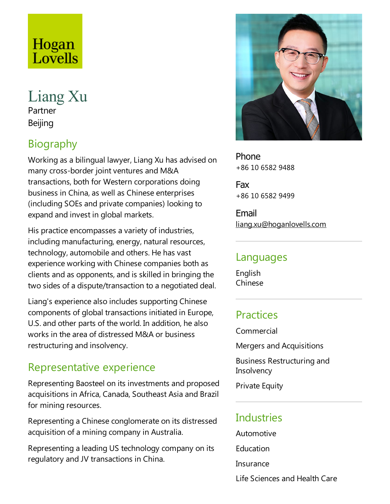# Hogan<br>Lovells

Liang Xu Partner Beijing

## Biography

Working as a bilingual lawyer, Liang Xu has advised on many cross-border joint ventures and M&A transactions, both for Western corporations doing business in China, as well as Chinese enterprises (including SOEs and private companies) looking to expand and invest in global markets.

His practice encompasses a variety of industries, including manufacturing, energy, natural resources, technology, automobile and others. He has vast experience working with Chinese companies both as clients and as opponents, and is skilled in bringing the two sides of a dispute/transaction to a negotiated deal.

Liang's experience also includes supporting Chinese components of global transactions initiated in Europe, U.S. and other parts of the world. In addition, he also works in the area of distressed M&A or business restructuring and insolvency.

#### Representative experience

Representing Baosteel on its investments and proposed acquisitions in Africa, Canada, Southeast Asia and Brazil for mining resources.

Representing a Chinese conglomerate on its distressed acquisition of a mining company in Australia.

Representing aleading US technology company on its regulatory and JV transactions in China.



Phone +86 10 6582 9488

Fax +86 10 6582 9499

Email liang.xu@hoganlovells.com

#### Languages

English Chinese

#### **Practices**

Commercial

Mergers and Acquisitions

Business Restructuring and **Insolvency** 

**Private Equity** 

#### **Industries**

Automotive **Education** 

Insurance

Life Sciences and Health Care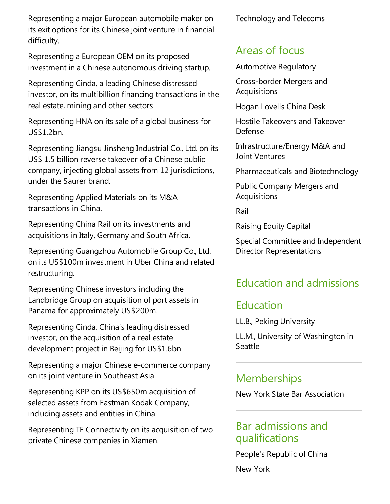Representing a major European automobile maker on its exit options for its Chinese joint venture in financial difficulty.

Representing a European OEM on its proposed investment in a Chinese autonomous driving startup.

Representing Cinda, a leading Chinese distressed investor, on its multibillion financing transactions in the real estate, mining and other sectors

Representing HNA on its sale of a global business for US\$1.2bn.

Representing Jiangsu Jinsheng Industrial Co., Ltd. on its US\$ 1.5 billion reverse takeover of a Chinese public company, injecting global assets from 12 jurisdictions, under the Saurer brand.

Representing Applied Materials on its M&A transactions in China.

Representing China Rail on its investments and acquisitions in Italy, Germany and South Africa.

Representing Guangzhou Automobile Group Co., Ltd. on its US\$100m investment in Uber China and related restructuring.

Representing Chinese investors including the Landbridge Group on acquisition of port assets in Panama for approximately US\$200m.

Representing Cinda, China's leading distressed investor, on the acquisition of a real estate development project in Beijing for US\$1.6bn.

Representing a major Chinese e-commerce company on its joint venture in Southeast Asia.

Representing KPP on its US\$650m acquisition of selected assets from Eastman Kodak Company, including assets and entities in China.

Representing TE Connectivity on its acquisition of two private Chinese companies in Xiamen.

Technology and Telecoms

#### Areas of focus

Automotive Regulatory

Cross-border Mergers and **Acquisitions** 

Hogan Lovells China Desk

Hostile Takeovers and Takeover Defense

Infrastructure/Energy M&A and Joint Ventures

Pharmaceuticals and Biotechnology

Public Company Mergers and **Acquisitions** 

Rail

Raising Equity Capital

Special Committee and Independent Director Representations

### Education and admissions

#### Education

LL.B., Peking University

LL.M., University of Washington in Seattle

#### **Memberships**

New York State Bar Association

#### Bar admissions and qualifications

People's Republic of China

New York